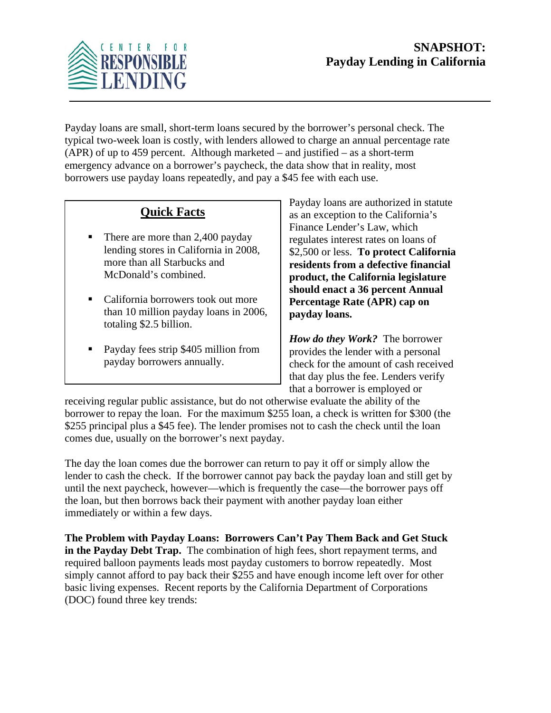

Payday loans are small, short-term loans secured by the borrower's personal check. The typical two-week loan is costly, with lenders allowed to charge an annual percentage rate (APR) of up to 459 percent. Although marketed – and justified – as a short-term emergency advance on a borrower's paycheck, the data show that in reality, most borrowers use payday loans repeatedly, and pay a \$45 fee with each use.

## **Quick Facts**

- There are more than 2,400 payday lending stores in California in 2008, more than all Starbucks and McDonald's combined.
- California borrowers took out more than 10 million payday loans in 2006, totaling \$2.5 billion.
- Payday fees strip \$405 million from payday borrowers annually.

Payday loans are authorized in statute as an exception to the California's Finance Lender's Law, which regulates interest rates on loans of \$2,500 or less. **To protect California residents from a defective financial product, the California legislature should enact a 36 percent Annual Percentage Rate (APR) cap on payday loans.** 

*How do they Work?* The borrower provides the lender with a personal check for the amount of cash received that day plus the fee. Lenders verify that a borrower is employed or

receiving regular public assistance, but do not otherwise evaluate the ability of the borrower to repay the loan. For the maximum \$255 loan, a check is written for \$300 (the \$255 principal plus a \$45 fee). The lender promises not to cash the check until the loan comes due, usually on the borrower's next payday.

The day the loan comes due the borrower can return to pay it off or simply allow the lender to cash the check. If the borrower cannot pay back the payday loan and still get by until the next paycheck, however—which is frequently the case—the borrower pays off the loan, but then borrows back their payment with another payday loan either immediately or within a few days.

**The Problem with Payday Loans: Borrowers Can't Pay Them Back and Get Stuck in the Payday Debt Trap.** The combination of high fees, short repayment terms, and required balloon payments leads most payday customers to borrow repeatedly. Most simply cannot afford to pay back their \$255 and have enough income left over for other basic living expenses. Recent reports by the California Department of Corporations (DOC) found three key trends: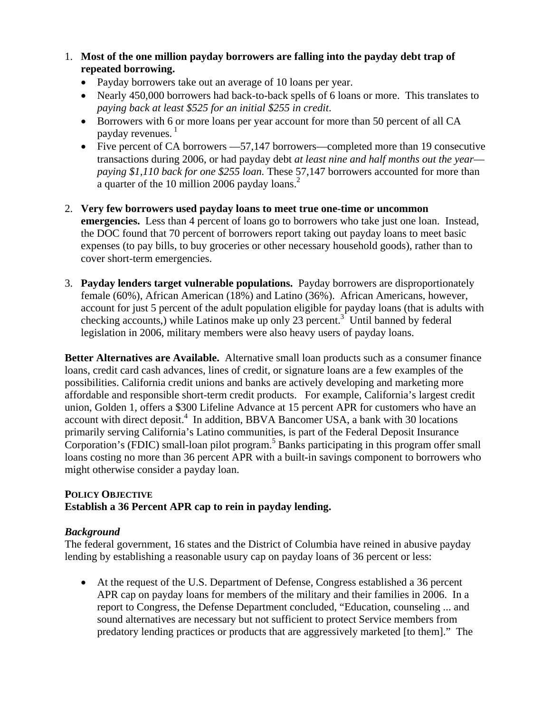- 1. **Most of the one million payday borrowers are falling into the payday debt trap of repeated borrowing.**
	- Payday borrowers take out an average of 10 loans per year.
	- Nearly 450,000 borrowers had back-to-back spells of 6 loans or more. This translates to *paying back at least \$525 for an initial \$255 in credit*.
	- Borrowers with 6 or more loans per year account for more than 50 percent of all CA payday revenues.<sup>1</sup>
	- Five percent of CA borrowers —57,147 borrowers—completed more than 19 consecutive transactions during 2006, or had payday debt *at least nine and half months out the year paying \$1,110 back for one \$255 loan.* These 57,147 borrowers accounted for more than a quarter of the 10 million 2006 payday loans. $2$
- 2. **Very few borrowers used payday loans to meet true one-time or uncommon emergencies.** Less than 4 percent of loans go to borrowers who take just one loan. Instead, the DOC found that 70 percent of borrowers report taking out payday loans to meet basic expenses (to pay bills, to buy groceries or other necessary household goods), rather than to cover short-term emergencies.
- 3. **Payday lenders target vulnerable populations.** Payday borrowers are disproportionately female (60%), African American (18%) and Latino (36%). African Americans, however, account for just 5 percent of the adult population eligible for payday loans (that is adults with checking accounts,) while Latinos make up only 23 percent.<sup>3</sup> Until banned by federal legislation in 2006, military members were also heavy users of payday loans.

**Better Alternatives are Available.** Alternative small loan products such as a consumer finance loans, credit card cash advances, lines of credit, or signature loans are a few examples of the possibilities. California credit unions and banks are actively developing and marketing more affordable and responsible short-term credit products. For example, California's largest credit union, Golden 1, offers a \$300 Lifeline Advance at 15 percent APR for customers who have an account with direct deposit.<sup>4</sup> In addition, BBVA Bancomer USA, a bank with 30 locations primarily serving California's Latino communities, is part of the Federal Deposit Insurance Corporation's (FDIC) small-loan pilot program.<sup>5</sup> Banks participating in this program offer small loans costing no more than 36 percent APR with a built-in savings component to borrowers who might otherwise consider a payday loan.

## **POLICY OBJECTIVE Establish a 36 Percent APR cap to rein in payday lending.**

## *Background*

The federal government, 16 states and the District of Columbia have reined in abusive payday lending by establishing a reasonable usury cap on payday loans of 36 percent or less:

• At the request of the U.S. Department of Defense, Congress established a 36 percent APR cap on payday loans for members of the military and their families in 2006. In a report to Congress, the Defense Department concluded, "Education, counseling ... and sound alternatives are necessary but not sufficient to protect Service members from predatory lending practices or products that are aggressively marketed [to them]." The